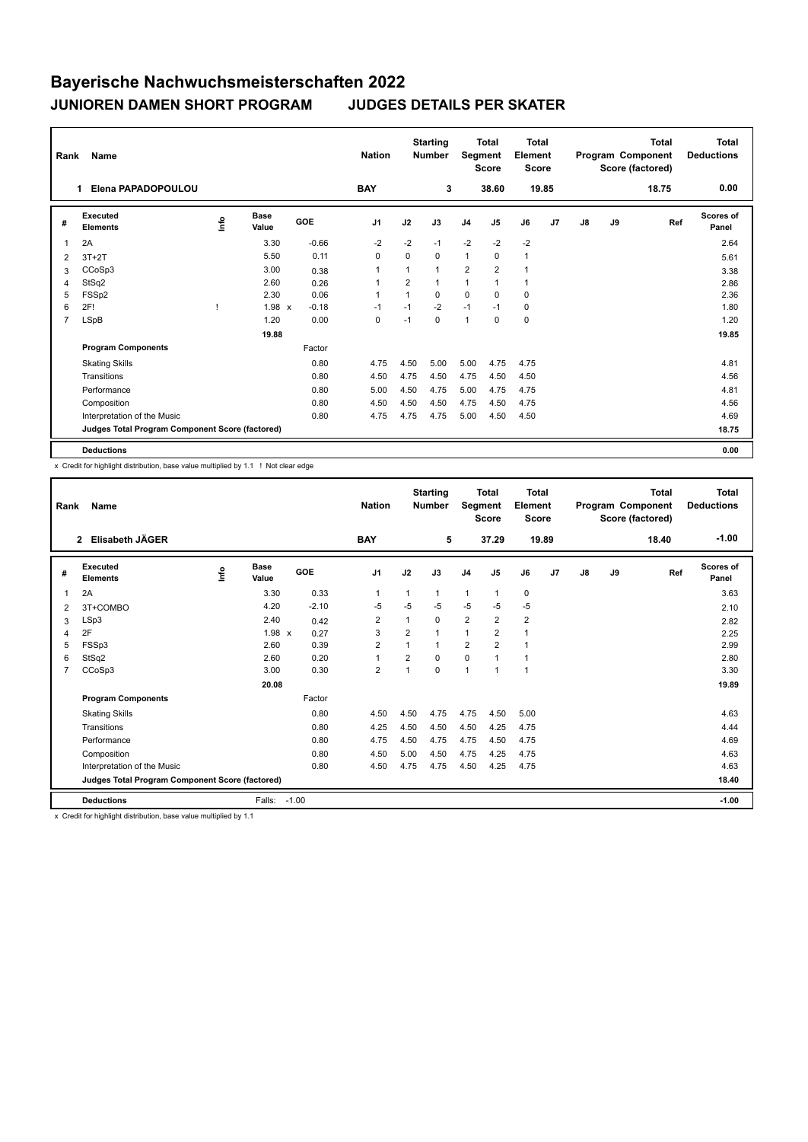## **Bayerische Nachwuchsmeisterschaften 2022 JUNIOREN DAMEN SHORT PROGRAM JUDGES DETAILS PER SKATER**

|                | Name<br>Rank                                    |                         |               |            | <b>Starting</b><br><b>Nation</b><br><b>Number</b> |                | <b>Total</b><br>Segment<br><b>Score</b> |                | Total<br>Element<br><b>Score</b> |              | <b>Total</b><br>Program Component<br>Score (factored) |    |    | Total<br><b>Deductions</b> |                    |
|----------------|-------------------------------------------------|-------------------------|---------------|------------|---------------------------------------------------|----------------|-----------------------------------------|----------------|----------------------------------|--------------|-------------------------------------------------------|----|----|----------------------------|--------------------|
|                | Elena PAPADOPOULOU<br>1.                        |                         |               |            | <b>BAY</b>                                        |                | 3                                       |                | 38.60                            | 19.85        |                                                       |    |    | 18.75                      | 0.00               |
| #              | Executed<br><b>Elements</b>                     | $\mathsf{f}^\mathsf{o}$ | Base<br>Value | <b>GOE</b> | J <sub>1</sub>                                    | J2             | J3                                      | J <sub>4</sub> | J <sub>5</sub>                   | J6           | J <sub>7</sub>                                        | J8 | J9 | Ref                        | Scores of<br>Panel |
| 1              | 2A                                              |                         | 3.30          | $-0.66$    | $-2$                                              | $-2$           | $-1$                                    | $-2$           | $-2$                             | $-2$         |                                                       |    |    |                            | 2.64               |
| 2              | $3T+2T$                                         |                         | 5.50          | 0.11       | 0                                                 | $\mathbf 0$    | 0                                       | $\mathbf{1}$   | 0                                | $\mathbf{1}$ |                                                       |    |    |                            | 5.61               |
| 3              | CCoSp3                                          |                         | 3.00          | 0.38       | 1                                                 |                | $\mathbf{1}$                            | $\overline{2}$ | $\overline{2}$                   | $\mathbf{1}$ |                                                       |    |    |                            | 3.38               |
| 4              | StSq2                                           |                         | 2.60          | 0.26       | 1                                                 | $\overline{2}$ | $\mathbf{1}$                            | $\mathbf{1}$   | $\mathbf{1}$                     | $\mathbf{1}$ |                                                       |    |    |                            | 2.86               |
| 5              | FSS <sub>p2</sub>                               |                         | 2.30          | 0.06       | 1                                                 |                | $\Omega$                                | $\Omega$       | $\Omega$                         | $\mathbf 0$  |                                                       |    |    |                            | 2.36               |
| 6              | 2F!                                             |                         | 1.98 x        | $-0.18$    | $-1$                                              | $-1$           | $-2$                                    | $-1$           | $-1$                             | $\mathbf 0$  |                                                       |    |    |                            | 1.80               |
| $\overline{7}$ | <b>LSpB</b>                                     |                         | 1.20          | 0.00       | 0                                                 | $-1$           | $\mathbf 0$                             | $\mathbf{1}$   | 0                                | $\mathbf 0$  |                                                       |    |    |                            | 1.20               |
|                |                                                 |                         | 19.88         |            |                                                   |                |                                         |                |                                  |              |                                                       |    |    |                            | 19.85              |
|                | <b>Program Components</b>                       |                         |               | Factor     |                                                   |                |                                         |                |                                  |              |                                                       |    |    |                            |                    |
|                | <b>Skating Skills</b>                           |                         |               | 0.80       | 4.75                                              | 4.50           | 5.00                                    | 5.00           | 4.75                             | 4.75         |                                                       |    |    |                            | 4.81               |
|                | Transitions                                     |                         |               | 0.80       | 4.50                                              | 4.75           | 4.50                                    | 4.75           | 4.50                             | 4.50         |                                                       |    |    |                            | 4.56               |
|                | Performance                                     |                         |               | 0.80       | 5.00                                              | 4.50           | 4.75                                    | 5.00           | 4.75                             | 4.75         |                                                       |    |    |                            | 4.81               |
|                | Composition                                     |                         |               | 0.80       | 4.50                                              | 4.50           | 4.50                                    | 4.75           | 4.50                             | 4.75         |                                                       |    |    |                            | 4.56               |
|                | Interpretation of the Music                     |                         |               | 0.80       | 4.75                                              | 4.75           | 4.75                                    | 5.00           | 4.50                             | 4.50         |                                                       |    |    |                            | 4.69               |
|                | Judges Total Program Component Score (factored) |                         |               |            |                                                   |                |                                         |                |                                  |              |                                                       |    |    |                            | 18.75              |
|                | <b>Deductions</b>                               |                         |               |            |                                                   |                |                                         |                |                                  |              |                                                       |    |    |                            | 0.00               |

x Credit for highlight distribution, base value multiplied by 1.1 ! Not clear edge

| Rank           | Name                                            |      |                      |         | <b>Nation</b>  |                | <b>Starting</b><br><b>Number</b> | Segment        | <b>Total</b><br><b>Score</b> | <b>Total</b><br>Element<br><b>Score</b> |    |    |    | <b>Total</b><br>Program Component<br>Score (factored) | <b>Total</b><br><b>Deductions</b> |
|----------------|-------------------------------------------------|------|----------------------|---------|----------------|----------------|----------------------------------|----------------|------------------------------|-----------------------------------------|----|----|----|-------------------------------------------------------|-----------------------------------|
|                | Elisabeth JÄGER<br>$\overline{2}$               |      |                      |         | <b>BAY</b>     |                | 5                                |                | 37.29                        | 19.89                                   |    |    |    | 18.40                                                 | $-1.00$                           |
| #              | Executed<br><b>Elements</b>                     | Info | <b>Base</b><br>Value | GOE     | J <sub>1</sub> | J2             | J3                               | J <sub>4</sub> | J5                           | J6                                      | J7 | J8 | J9 | Ref                                                   | Scores of<br>Panel                |
| 1              | 2A                                              |      | 3.30                 | 0.33    | $\mathbf{1}$   | 1              | 1                                | $\mathbf{1}$   | $\mathbf{1}$                 | $\mathbf 0$                             |    |    |    |                                                       | 3.63                              |
| 2              | 3T+COMBO                                        |      | 4.20                 | $-2.10$ | -5             | $-5$           | $-5$                             | $-5$           | $-5$                         | $-5$                                    |    |    |    |                                                       | 2.10                              |
| 3              | LSp3                                            |      | 2.40                 | 0.42    | $\overline{2}$ |                | 0                                | $\overline{2}$ | 2                            | $\overline{\mathbf{c}}$                 |    |    |    |                                                       | 2.82                              |
| 4              | 2F                                              |      | $1.98 \times$        | 0.27    | 3              | $\overline{2}$ | $\overline{1}$                   | $\mathbf{1}$   | 2                            | 1                                       |    |    |    |                                                       | 2.25                              |
| 5              | FSSp3                                           |      | 2.60                 | 0.39    | $\overline{2}$ | 1              | 1                                | $\overline{2}$ | $\overline{2}$               | $\overline{1}$                          |    |    |    |                                                       | 2.99                              |
| 6              | StSq2                                           |      | 2.60                 | 0.20    | $\mathbf{1}$   | 2              | 0                                | $\pmb{0}$      | 1                            | 1                                       |    |    |    |                                                       | 2.80                              |
| $\overline{7}$ | CCoSp3                                          |      | 3.00                 | 0.30    | $\overline{2}$ | 1              | 0                                | $\overline{1}$ | 1                            | $\overline{1}$                          |    |    |    |                                                       | 3.30                              |
|                |                                                 |      | 20.08                |         |                |                |                                  |                |                              |                                         |    |    |    |                                                       | 19.89                             |
|                | <b>Program Components</b>                       |      |                      | Factor  |                |                |                                  |                |                              |                                         |    |    |    |                                                       |                                   |
|                | <b>Skating Skills</b>                           |      |                      | 0.80    | 4.50           | 4.50           | 4.75                             | 4.75           | 4.50                         | 5.00                                    |    |    |    |                                                       | 4.63                              |
|                | Transitions                                     |      |                      | 0.80    | 4.25           | 4.50           | 4.50                             | 4.50           | 4.25                         | 4.75                                    |    |    |    |                                                       | 4.44                              |
|                | Performance                                     |      |                      | 0.80    | 4.75           | 4.50           | 4.75                             | 4.75           | 4.50                         | 4.75                                    |    |    |    |                                                       | 4.69                              |
|                | Composition                                     |      |                      | 0.80    | 4.50           | 5.00           | 4.50                             | 4.75           | 4.25                         | 4.75                                    |    |    |    |                                                       | 4.63                              |
|                | Interpretation of the Music                     |      |                      | 0.80    | 4.50           | 4.75           | 4.75                             | 4.50           | 4.25                         | 4.75                                    |    |    |    |                                                       | 4.63                              |
|                | Judges Total Program Component Score (factored) |      |                      |         |                |                |                                  |                |                              |                                         |    |    |    |                                                       | 18.40                             |
|                | <b>Deductions</b>                               |      | Falls:               | $-1.00$ |                |                |                                  |                |                              |                                         |    |    |    |                                                       | $-1.00$                           |

x Credit for highlight distribution, base value multiplied by 1.1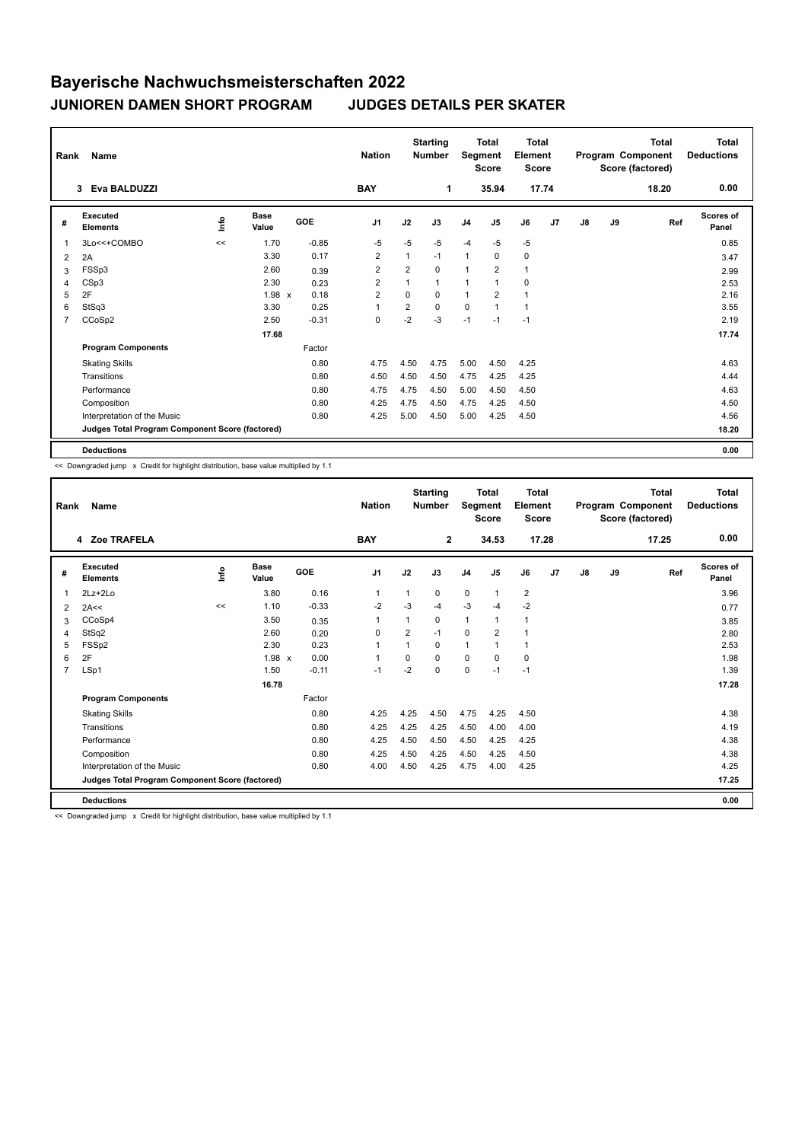## **Bayerische Nachwuchsmeisterschaften 2022 JUNIOREN DAMEN SHORT PROGRAM JUDGES DETAILS PER SKATER**

|                | <b>Name</b><br>Rank                             |      |                      |         | <b>Starting</b><br><b>Nation</b><br><b>Number</b> |                |          | <b>Total</b><br>Segment<br><b>Score</b> |                | <b>Total</b><br>Element<br><b>Score</b> |                | <b>Total</b><br>Program Component<br>Score (factored) |    |       | Total<br><b>Deductions</b> |
|----------------|-------------------------------------------------|------|----------------------|---------|---------------------------------------------------|----------------|----------|-----------------------------------------|----------------|-----------------------------------------|----------------|-------------------------------------------------------|----|-------|----------------------------|
|                | Eva BALDUZZI<br>3                               |      |                      |         | <b>BAY</b>                                        |                | 1        |                                         | 35.94          | 17.74                                   |                |                                                       |    | 18.20 | 0.00                       |
| #              | Executed<br><b>Elements</b>                     | lnfo | <b>Base</b><br>Value | GOE     | J <sub>1</sub>                                    | J2             | J3       | J <sub>4</sub>                          | J <sub>5</sub> | J6                                      | J <sub>7</sub> | J8                                                    | J9 | Ref   | Scores of<br>Panel         |
| $\overline{1}$ | 3Lo<<+COMBO                                     | <<   | 1.70                 | $-0.85$ | $-5$                                              | $-5$           | $-5$     | $-4$                                    | $-5$           | $-5$                                    |                |                                                       |    |       | 0.85                       |
| 2              | 2A                                              |      | 3.30                 | 0.17    | $\overline{2}$                                    | 1              | $-1$     | $\mathbf{1}$                            | 0              | 0                                       |                |                                                       |    |       | 3.47                       |
| 3              | FSSp3                                           |      | 2.60                 | 0.39    | 2                                                 | $\overline{2}$ | $\Omega$ | $\overline{1}$                          | $\overline{2}$ | $\mathbf{1}$                            |                |                                                       |    |       | 2.99                       |
| 4              | CSp3                                            |      | 2.30                 | 0.23    | $\overline{2}$                                    | 1              | 1        | $\overline{1}$                          | $\mathbf{1}$   | 0                                       |                |                                                       |    |       | 2.53                       |
| 5              | 2F                                              |      | 1.98 x               | 0.18    | $\overline{2}$                                    | $\Omega$       | $\Omega$ | $\overline{1}$                          | 2              | 1                                       |                |                                                       |    |       | 2.16                       |
| 6              | StSq3                                           |      | 3.30                 | 0.25    | $\overline{1}$                                    | $\overline{2}$ | $\Omega$ | $\mathbf 0$                             | $\mathbf{1}$   | 1                                       |                |                                                       |    |       | 3.55                       |
| $\overline{7}$ | CCoSp2                                          |      | 2.50                 | $-0.31$ | $\mathbf 0$                                       | $-2$           | $-3$     | $-1$                                    | $-1$           | $-1$                                    |                |                                                       |    |       | 2.19                       |
|                |                                                 |      | 17.68                |         |                                                   |                |          |                                         |                |                                         |                |                                                       |    |       | 17.74                      |
|                | <b>Program Components</b>                       |      |                      | Factor  |                                                   |                |          |                                         |                |                                         |                |                                                       |    |       |                            |
|                | <b>Skating Skills</b>                           |      |                      | 0.80    | 4.75                                              | 4.50           | 4.75     | 5.00                                    | 4.50           | 4.25                                    |                |                                                       |    |       | 4.63                       |
|                | Transitions                                     |      |                      | 0.80    | 4.50                                              | 4.50           | 4.50     | 4.75                                    | 4.25           | 4.25                                    |                |                                                       |    |       | 4.44                       |
|                | Performance                                     |      |                      | 0.80    | 4.75                                              | 4.75           | 4.50     | 5.00                                    | 4.50           | 4.50                                    |                |                                                       |    |       | 4.63                       |
|                | Composition                                     |      |                      | 0.80    | 4.25                                              | 4.75           | 4.50     | 4.75                                    | 4.25           | 4.50                                    |                |                                                       |    |       | 4.50                       |
|                | Interpretation of the Music                     |      |                      | 0.80    | 4.25                                              | 5.00           | 4.50     | 5.00                                    | 4.25           | 4.50                                    |                |                                                       |    |       | 4.56                       |
|                | Judges Total Program Component Score (factored) |      |                      |         |                                                   |                |          |                                         |                |                                         |                |                                                       |    |       | 18.20                      |
|                | <b>Deductions</b>                               |      |                      |         |                                                   |                |          |                                         |                |                                         |                |                                                       |    |       | 0.00                       |

<< Downgraded jump x Credit for highlight distribution, base value multiplied by 1.1

| Rank           | Name                                            |      |                      |         | <b>Nation</b>  | <b>Starting</b><br><b>Number</b> |              | Total<br>Segment<br><b>Score</b> |                | <b>Total</b><br>Element<br><b>Score</b> |       | Program Component<br>Score (factored) |    | <b>Total</b> | <b>Total</b><br><b>Deductions</b> |
|----------------|-------------------------------------------------|------|----------------------|---------|----------------|----------------------------------|--------------|----------------------------------|----------------|-----------------------------------------|-------|---------------------------------------|----|--------------|-----------------------------------|
|                | 4 Zoe TRAFELA                                   |      |                      |         | <b>BAY</b>     |                                  | $\mathbf{2}$ |                                  | 34.53          |                                         | 17.28 |                                       |    | 17.25        | 0.00                              |
| #              | Executed<br><b>Elements</b>                     | ١nf٥ | <b>Base</b><br>Value | GOE     | J <sub>1</sub> | J2                               | J3           | J <sub>4</sub>                   | J5             | J6                                      | J7    | J8                                    | J9 | Ref          | <b>Scores of</b><br>Panel         |
| 1              | $2Lz + 2Lo$                                     |      | 3.80                 | 0.16    | $\mathbf 1$    |                                  | 0            | $\mathbf 0$                      | $\mathbf{1}$   | $\overline{2}$                          |       |                                       |    |              | 3.96                              |
| 2              | 2A<<                                            | <<   | 1.10                 | $-0.33$ | $-2$           | $-3$                             | $-4$         | $-3$                             | $-4$           | $-2$                                    |       |                                       |    |              | 0.77                              |
| 3              | CCoSp4                                          |      | 3.50                 | 0.35    | 1              |                                  | 0            | $\mathbf{1}$                     | 1              | $\mathbf{1}$                            |       |                                       |    |              | 3.85                              |
| $\overline{4}$ | StSq2                                           |      | 2.60                 | 0.20    | 0              | $\overline{2}$                   | $-1$         | $\mathbf 0$                      | $\overline{2}$ | $\overline{1}$                          |       |                                       |    |              | 2.80                              |
| 5              | FSS <sub>p2</sub>                               |      | 2.30                 | 0.23    | $\overline{1}$ |                                  | $\Omega$     | $\mathbf{1}$                     |                | $\overline{1}$                          |       |                                       |    |              | 2.53                              |
| 6              | 2F                                              |      | $1.98 \times$        | 0.00    | $\mathbf{1}$   | $\Omega$                         | 0            | $\mathbf 0$                      | $\Omega$       | $\mathbf 0$                             |       |                                       |    |              | 1.98                              |
| $\overline{7}$ | LSp1                                            |      | 1.50                 | $-0.11$ | $-1$           | $-2$                             | 0            | 0                                | $-1$           | $-1$                                    |       |                                       |    |              | 1.39                              |
|                |                                                 |      | 16.78                |         |                |                                  |              |                                  |                |                                         |       |                                       |    |              | 17.28                             |
|                | <b>Program Components</b>                       |      |                      | Factor  |                |                                  |              |                                  |                |                                         |       |                                       |    |              |                                   |
|                | <b>Skating Skills</b>                           |      |                      | 0.80    | 4.25           | 4.25                             | 4.50         | 4.75                             | 4.25           | 4.50                                    |       |                                       |    |              | 4.38                              |
|                | Transitions                                     |      |                      | 0.80    | 4.25           | 4.25                             | 4.25         | 4.50                             | 4.00           | 4.00                                    |       |                                       |    |              | 4.19                              |
|                | Performance                                     |      |                      | 0.80    | 4.25           | 4.50                             | 4.50         | 4.50                             | 4.25           | 4.25                                    |       |                                       |    |              | 4.38                              |
|                | Composition                                     |      |                      | 0.80    | 4.25           | 4.50                             | 4.25         | 4.50                             | 4.25           | 4.50                                    |       |                                       |    |              | 4.38                              |
|                | Interpretation of the Music                     |      |                      | 0.80    | 4.00           | 4.50                             | 4.25         | 4.75                             | 4.00           | 4.25                                    |       |                                       |    |              | 4.25                              |
|                | Judges Total Program Component Score (factored) |      |                      |         |                |                                  |              |                                  |                |                                         |       |                                       |    |              | 17.25                             |
|                | <b>Deductions</b>                               |      |                      |         |                |                                  |              |                                  |                |                                         |       |                                       |    |              | 0.00                              |

<< Downgraded jump x Credit for highlight distribution, base value multiplied by 1.1